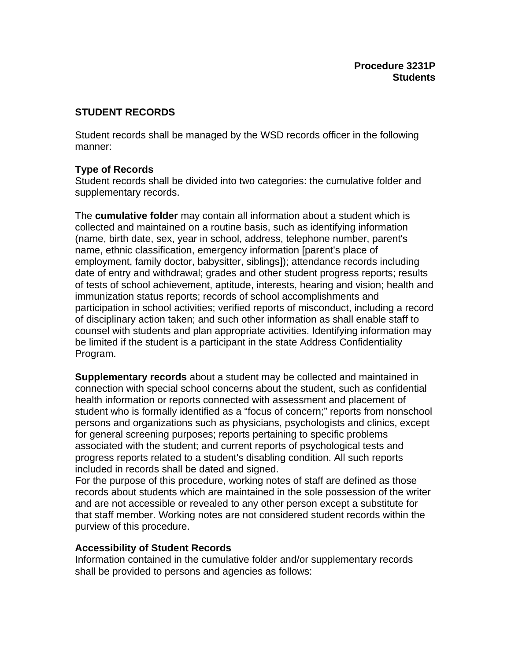# **STUDENT RECORDS**

Student records shall be managed by the WSD records officer in the following manner:

# **Type of Records**

Student records shall be divided into two categories: the cumulative folder and supplementary records.

The **cumulative folder** may contain all information about a student which is collected and maintained on a routine basis, such as identifying information (name, birth date, sex, year in school, address, telephone number, parent's name, ethnic classification, emergency information [parent's place of employment, family doctor, babysitter, siblings]); attendance records including date of entry and withdrawal; grades and other student progress reports; results of tests of school achievement, aptitude, interests, hearing and vision; health and immunization status reports; records of school accomplishments and participation in school activities; verified reports of misconduct, including a record of disciplinary action taken; and such other information as shall enable staff to counsel with students and plan appropriate activities. Identifying information may be limited if the student is a participant in the state Address Confidentiality Program.

**Supplementary records** about a student may be collected and maintained in connection with special school concerns about the student, such as confidential health information or reports connected with assessment and placement of student who is formally identified as a "focus of concern;" reports from nonschool persons and organizations such as physicians, psychologists and clinics, except for general screening purposes; reports pertaining to specific problems associated with the student; and current reports of psychological tests and progress reports related to a student's disabling condition. All such reports included in records shall be dated and signed.

For the purpose of this procedure, working notes of staff are defined as those records about students which are maintained in the sole possession of the writer and are not accessible or revealed to any other person except a substitute for that staff member. Working notes are not considered student records within the purview of this procedure.

# **Accessibility of Student Records**

Information contained in the cumulative folder and/or supplementary records shall be provided to persons and agencies as follows: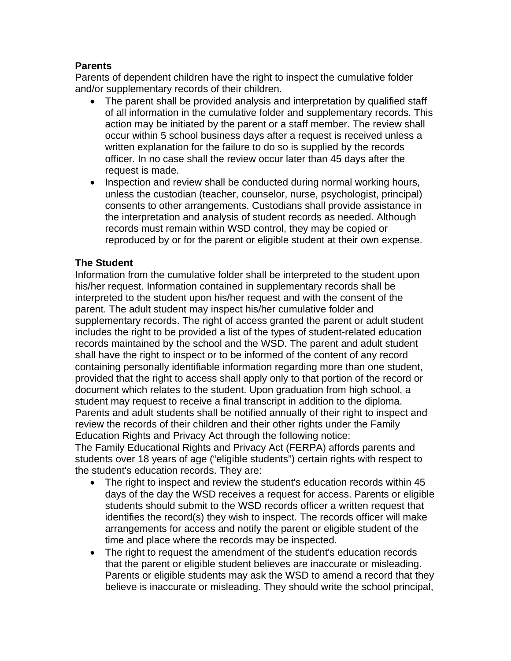## **Parents**

Parents of dependent children have the right to inspect the cumulative folder and/or supplementary records of their children.

- The parent shall be provided analysis and interpretation by qualified staff of all information in the cumulative folder and supplementary records. This action may be initiated by the parent or a staff member. The review shall occur within 5 school business days after a request is received unless a written explanation for the failure to do so is supplied by the records officer. In no case shall the review occur later than 45 days after the request is made.
- Inspection and review shall be conducted during normal working hours, unless the custodian (teacher, counselor, nurse, psychologist, principal) consents to other arrangements. Custodians shall provide assistance in the interpretation and analysis of student records as needed. Although records must remain within WSD control, they may be copied or reproduced by or for the parent or eligible student at their own expense.

## **The Student**

Information from the cumulative folder shall be interpreted to the student upon his/her request. Information contained in supplementary records shall be interpreted to the student upon his/her request and with the consent of the parent. The adult student may inspect his/her cumulative folder and supplementary records. The right of access granted the parent or adult student includes the right to be provided a list of the types of student-related education records maintained by the school and the WSD. The parent and adult student shall have the right to inspect or to be informed of the content of any record containing personally identifiable information regarding more than one student, provided that the right to access shall apply only to that portion of the record or document which relates to the student. Upon graduation from high school, a student may request to receive a final transcript in addition to the diploma. Parents and adult students shall be notified annually of their right to inspect and review the records of their children and their other rights under the Family Education Rights and Privacy Act through the following notice:

The Family Educational Rights and Privacy Act (FERPA) affords parents and students over 18 years of age ("eligible students") certain rights with respect to the student's education records. They are:

- The right to inspect and review the student's education records within 45 days of the day the WSD receives a request for access. Parents or eligible students should submit to the WSD records officer a written request that identifies the record(s) they wish to inspect. The records officer will make arrangements for access and notify the parent or eligible student of the time and place where the records may be inspected.
- The right to request the amendment of the student's education records that the parent or eligible student believes are inaccurate or misleading. Parents or eligible students may ask the WSD to amend a record that they believe is inaccurate or misleading. They should write the school principal,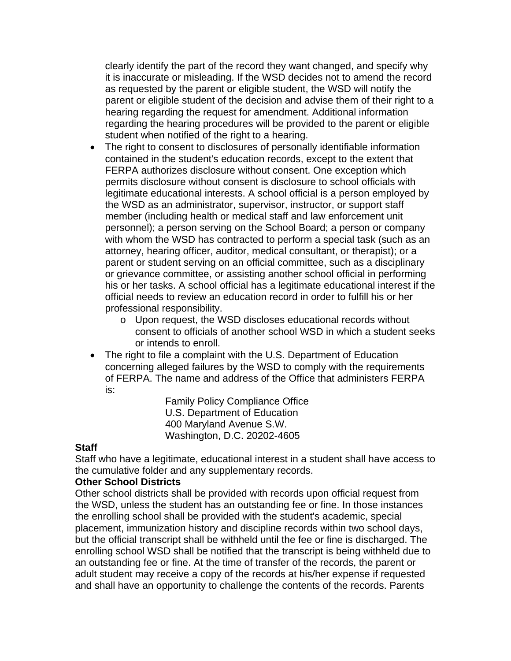clearly identify the part of the record they want changed, and specify why it is inaccurate or misleading. If the WSD decides not to amend the record as requested by the parent or eligible student, the WSD will notify the parent or eligible student of the decision and advise them of their right to a hearing regarding the request for amendment. Additional information regarding the hearing procedures will be provided to the parent or eligible student when notified of the right to a hearing.

- The right to consent to disclosures of personally identifiable information contained in the student's education records, except to the extent that FERPA authorizes disclosure without consent. One exception which permits disclosure without consent is disclosure to school officials with legitimate educational interests. A school official is a person employed by the WSD as an administrator, supervisor, instructor, or support staff member (including health or medical staff and law enforcement unit personnel); a person serving on the School Board; a person or company with whom the WSD has contracted to perform a special task (such as an attorney, hearing officer, auditor, medical consultant, or therapist); or a parent or student serving on an official committee, such as a disciplinary or grievance committee, or assisting another school official in performing his or her tasks. A school official has a legitimate educational interest if the official needs to review an education record in order to fulfill his or her professional responsibility.
	- o Upon request, the WSD discloses educational records without consent to officials of another school WSD in which a student seeks or intends to enroll.
- The right to file a complaint with the U.S. Department of Education concerning alleged failures by the WSD to comply with the requirements of FERPA. The name and address of the Office that administers FERPA is:

Family Policy Compliance Office U.S. Department of Education 400 Maryland Avenue S.W. Washington, D.C. 20202-4605

### **Staff**

Staff who have a legitimate, educational interest in a student shall have access to the cumulative folder and any supplementary records.

#### **Other School Districts**

Other school districts shall be provided with records upon official request from the WSD, unless the student has an outstanding fee or fine. In those instances the enrolling school shall be provided with the student's academic, special placement, immunization history and discipline records within two school days, but the official transcript shall be withheld until the fee or fine is discharged. The enrolling school WSD shall be notified that the transcript is being withheld due to an outstanding fee or fine. At the time of transfer of the records, the parent or adult student may receive a copy of the records at his/her expense if requested and shall have an opportunity to challenge the contents of the records. Parents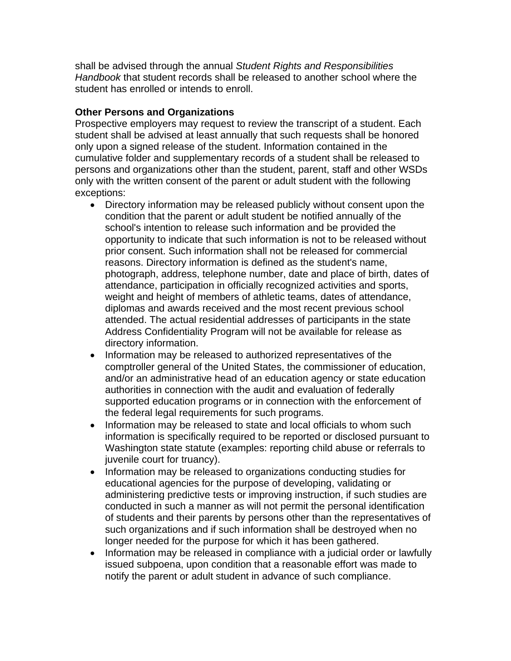shall be advised through the annual *Student Rights and Responsibilities Handbook* that student records shall be released to another school where the student has enrolled or intends to enroll.

## **Other Persons and Organizations**

Prospective employers may request to review the transcript of a student. Each student shall be advised at least annually that such requests shall be honored only upon a signed release of the student. Information contained in the cumulative folder and supplementary records of a student shall be released to persons and organizations other than the student, parent, staff and other WSDs only with the written consent of the parent or adult student with the following exceptions:

- Directory information may be released publicly without consent upon the condition that the parent or adult student be notified annually of the school's intention to release such information and be provided the opportunity to indicate that such information is not to be released without prior consent. Such information shall not be released for commercial reasons. Directory information is defined as the student's name, photograph, address, telephone number, date and place of birth, dates of attendance, participation in officially recognized activities and sports, weight and height of members of athletic teams, dates of attendance, diplomas and awards received and the most recent previous school attended. The actual residential addresses of participants in the state Address Confidentiality Program will not be available for release as directory information.
- Information may be released to authorized representatives of the comptroller general of the United States, the commissioner of education, and/or an administrative head of an education agency or state education authorities in connection with the audit and evaluation of federally supported education programs or in connection with the enforcement of the federal legal requirements for such programs.
- Information may be released to state and local officials to whom such information is specifically required to be reported or disclosed pursuant to Washington state statute (examples: reporting child abuse or referrals to juvenile court for truancy).
- Information may be released to organizations conducting studies for educational agencies for the purpose of developing, validating or administering predictive tests or improving instruction, if such studies are conducted in such a manner as will not permit the personal identification of students and their parents by persons other than the representatives of such organizations and if such information shall be destroyed when no longer needed for the purpose for which it has been gathered.
- Information may be released in compliance with a judicial order or lawfully issued subpoena, upon condition that a reasonable effort was made to notify the parent or adult student in advance of such compliance.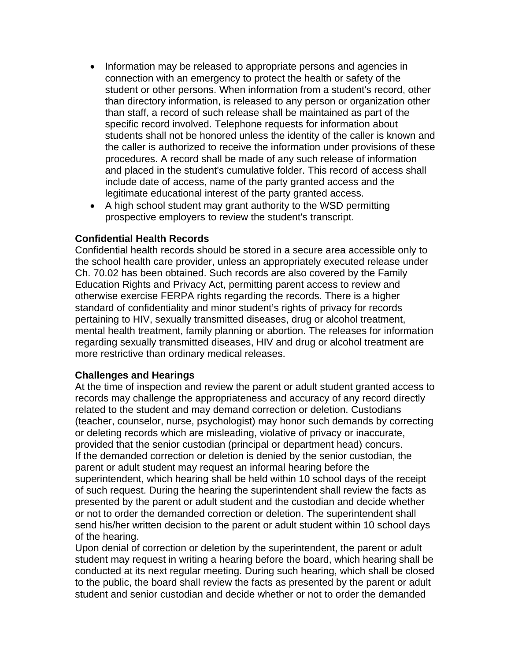- Information may be released to appropriate persons and agencies in connection with an emergency to protect the health or safety of the student or other persons. When information from a student's record, other than directory information, is released to any person or organization other than staff, a record of such release shall be maintained as part of the specific record involved. Telephone requests for information about students shall not be honored unless the identity of the caller is known and the caller is authorized to receive the information under provisions of these procedures. A record shall be made of any such release of information and placed in the student's cumulative folder. This record of access shall include date of access, name of the party granted access and the legitimate educational interest of the party granted access.
- A high school student may grant authority to the WSD permitting prospective employers to review the student's transcript.

### **Confidential Health Records**

Confidential health records should be stored in a secure area accessible only to the school health care provider, unless an appropriately executed release under Ch. 70.02 has been obtained. Such records are also covered by the Family Education Rights and Privacy Act, permitting parent access to review and otherwise exercise FERPA rights regarding the records. There is a higher standard of confidentiality and minor student's rights of privacy for records pertaining to HIV, sexually transmitted diseases, drug or alcohol treatment, mental health treatment, family planning or abortion. The releases for information regarding sexually transmitted diseases, HIV and drug or alcohol treatment are more restrictive than ordinary medical releases.

### **Challenges and Hearings**

At the time of inspection and review the parent or adult student granted access to records may challenge the appropriateness and accuracy of any record directly related to the student and may demand correction or deletion. Custodians (teacher, counselor, nurse, psychologist) may honor such demands by correcting or deleting records which are misleading, violative of privacy or inaccurate, provided that the senior custodian (principal or department head) concurs. If the demanded correction or deletion is denied by the senior custodian, the parent or adult student may request an informal hearing before the superintendent, which hearing shall be held within 10 school days of the receipt of such request. During the hearing the superintendent shall review the facts as presented by the parent or adult student and the custodian and decide whether or not to order the demanded correction or deletion. The superintendent shall send his/her written decision to the parent or adult student within 10 school days of the hearing.

Upon denial of correction or deletion by the superintendent, the parent or adult student may request in writing a hearing before the board, which hearing shall be conducted at its next regular meeting. During such hearing, which shall be closed to the public, the board shall review the facts as presented by the parent or adult student and senior custodian and decide whether or not to order the demanded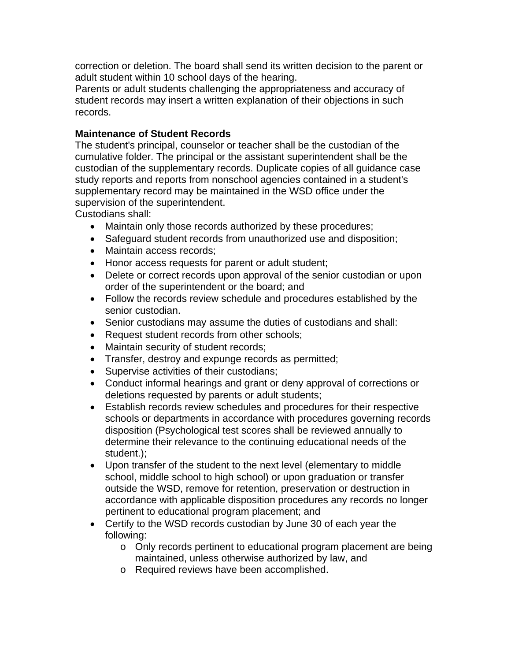correction or deletion. The board shall send its written decision to the parent or adult student within 10 school days of the hearing.

Parents or adult students challenging the appropriateness and accuracy of student records may insert a written explanation of their objections in such records.

### **Maintenance of Student Records**

The student's principal, counselor or teacher shall be the custodian of the cumulative folder. The principal or the assistant superintendent shall be the custodian of the supplementary records. Duplicate copies of all guidance case study reports and reports from nonschool agencies contained in a student's supplementary record may be maintained in the WSD office under the supervision of the superintendent.

Custodians shall:

- Maintain only those records authorized by these procedures;
- Safeguard student records from unauthorized use and disposition;
- Maintain access records;
- Honor access requests for parent or adult student;
- Delete or correct records upon approval of the senior custodian or upon order of the superintendent or the board; and
- Follow the records review schedule and procedures established by the senior custodian.
- Senior custodians may assume the duties of custodians and shall:
- Request student records from other schools;
- Maintain security of student records;
- Transfer, destroy and expunge records as permitted;
- Supervise activities of their custodians;
- Conduct informal hearings and grant or deny approval of corrections or deletions requested by parents or adult students;
- Establish records review schedules and procedures for their respective schools or departments in accordance with procedures governing records disposition (Psychological test scores shall be reviewed annually to determine their relevance to the continuing educational needs of the student.);
- Upon transfer of the student to the next level (elementary to middle school, middle school to high school) or upon graduation or transfer outside the WSD, remove for retention, preservation or destruction in accordance with applicable disposition procedures any records no longer pertinent to educational program placement; and
- Certify to the WSD records custodian by June 30 of each year the following:
	- o Only records pertinent to educational program placement are being maintained, unless otherwise authorized by law, and
	- o Required reviews have been accomplished.